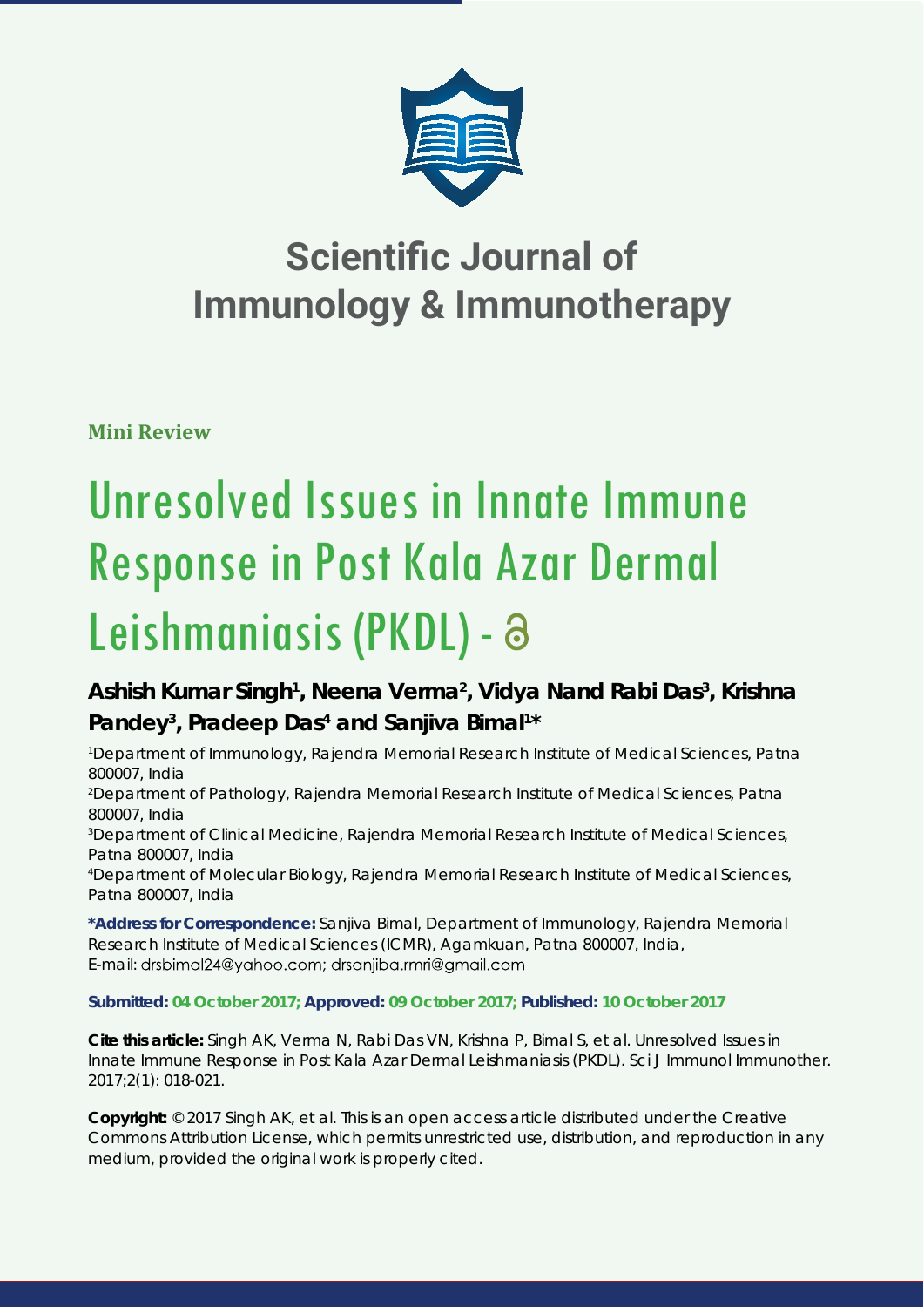

## **Scientific Journal of Immunology & Immunotherapy**

**Mini Review**

# Unresolved Issues in Innate Immune Response in Post Kala Azar Dermal Leishmaniasis (PKDL) -

### Ashish Kumar Singh<sup>1</sup>, Neena Verma<sup>2</sup>, Vidya Nand Rabi Das<sup>3</sup>, Krishna Pandey<sup>3</sup>, Pradeep Das<sup>4</sup> and Sanjiva Bimal<sup>1\*</sup>

*1 Department of Immunology, Rajendra Memorial Research Institute of Medical Sciences, Patna 800007, India*

*2 Department of Pathology, Rajendra Memorial Research Institute of Medical Sciences, Patna 800007, India*

*3 Department of Clinical Medicine, Rajendra Memorial Research Institute of Medical Sciences, Patna 800007, India*

*4 Department of Molecular Biology, Rajendra Memorial Research Institute of Medical Sciences, Patna 800007, India*

**\*Address for Correspondence:** Sanjiva Bimal, Department of Immunology, Rajendra Memorial Research Institute of Medical Sciences (ICMR), Agamkuan, Patna 800007, India, E-mail: drsbimal24@yahoo.com; drsanjiba.rmri@gmail.com

**Submitted: 04 October 2017; Approved: 09 October 2017; Published: 10 October 2017**

**Cite this article:** Singh AK, Verma N, Rabi Das VN, Krishna P, Bimal S, et al. Unresolved Issues in Innate Immune Response in Post Kala Azar Dermal Leishmaniasis (PKDL). Sci J Immunol Immunother. 2017;2(1): 018-021.

**Copyright:** © 2017 Singh AK, et al. This is an open access article distributed under the Creative Commons Attribution License, which permits unrestricted use, distribution, and reproduction in any medium, provided the original work is properly cited.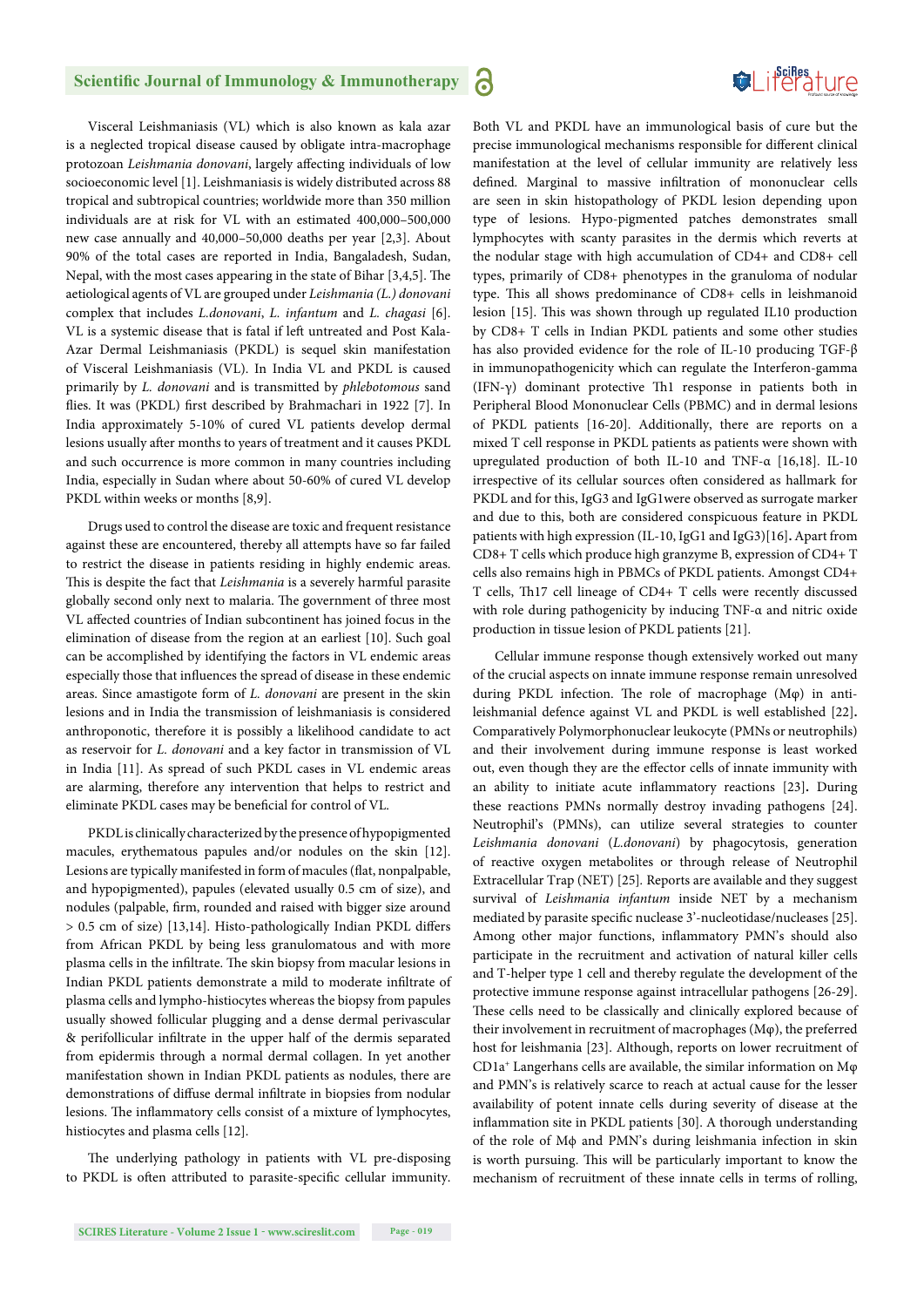#### **Scientific Journal of Immunology & Immunotherapy**

6

**SeiRes** ture

Visceral Leishmaniasis (VL) which is also known as kala azar is a neglected tropical disease caused by obligate intra-macrophage protozoan *Leishmania donovani*, largely affecting individuals of low socioeconomic level [1]. Leishmaniasis is widely distributed across 88 tropical and subtropical countries; worldwide more than 350 million individuals are at risk for VL with an estimated 400,000–500,000 new case annually and 40,000–50,000 deaths per year [2,3]. About 90% of the total cases are reported in India, Bangaladesh, Sudan, Nepal, with the most cases appearing in the state of Bihar [3,4,5]. The aetiological agents of VL are grouped under *Leishmania (L.) donovani* complex that includes *L.donovani*, *L. infantum* and *L. chagasi* [6]. VL is a systemic disease that is fatal if left untreated and Post Kala-Azar Dermal Leishmaniasis (PKDL) is sequel skin manifestation of Visceral Leishmaniasis (VL). In India VL and PKDL is caused primarily by *L. donovani* and is transmitted by *phlebotomous* sand flies. It was (PKDL) first described by Brahmachari in 1922 [7]. In India approximately 5-10% of cured VL patients develop dermal lesions usually after months to years of treatment and it causes PKDL and such occurrence is more common in many countries including India, especially in Sudan where about 50-60% of cured VL develop PKDL within weeks or months [8,9].

Drugs used to control the disease are toxic and frequent resistance against these are encountered, thereby all attempts have so far failed to restrict the disease in patients residing in highly endemic areas. This is despite the fact that *Leishmania* is a severely harmful parasite globally second only next to malaria. The government of three most VL affected countries of Indian subcontinent has joined focus in the elimination of disease from the region at an earliest [10]. Such goal can be accomplished by identifying the factors in VL endemic areas especially those that influences the spread of disease in these endemic areas. Since amastigote form of *L. donovani* are present in the skin lesions and in India the transmission of leishmaniasis is considered anthroponotic, therefore it is possibly a likelihood candidate to act as reservoir for *L. donovani* and a key factor in transmission of VL in India [11]. As spread of such PKDL cases in VL endemic areas are alarming, therefore any intervention that helps to restrict and eliminate PKDL cases may be beneficial for control of VL.

PKDL is clinically characterized by the presence of hypopigmented macules, erythematous papules and/or nodules on the skin [12]. Lesions are typically manifested in form of macules (flat, nonpalpable, and hypopigmented), papules (elevated usually 0.5 cm of size), and nodules (palpable, firm, rounded and raised with bigger size around  $> 0.5$  cm of size) [13,14]. Histo-pathologically Indian PKDL differs from African PKDL by being less granulomatous and with more plasma cells in the infiltrate. The skin biopsy from macular lesions in Indian PKDL patients demonstrate a mild to moderate infiltrate of plasma cells and lympho-histiocytes whereas the biopsy from papules usually showed follicular plugging and a dense dermal perivascular & perifollicular infiltrate in the upper half of the dermis separated from epidermis through a normal dermal collagen. In yet another manifestation shown in Indian PKDL patients as nodules, there are demonstrations of diffuse dermal infiltrate in biopsies from nodular lesions. The inflammatory cells consist of a mixture of lymphocytes, histiocytes and plasma cells [12].

The underlying pathology in patients with VL pre-disposing to PKDL is often attributed to parasite-specific cellular immunity.

Both VL and PKDL have an immunological basis of cure but the precise immunological mechanisms responsible for different clinical manifestation at the level of cellular immunity are relatively less defined. Marginal to massive infiltration of mononuclear cells are seen in skin histopathology of PKDL lesion depending upon type of lesions. Hypo-pigmented patches demonstrates small lymphocytes with scanty parasites in the dermis which reverts at the nodular stage with high accumulation of CD4+ and CD8+ cell types, primarily of CD8+ phenotypes in the granuloma of nodular type. This all shows predominance of CD8+ cells in leishmanoid lesion [15]. This was shown through up regulated IL10 production by CD8+ T cells in Indian PKDL patients and some other studies has also provided evidence for the role of IL-10 producing TGF-β in immunopathogenicity which can regulate the Interferon-gamma (IFN- $\gamma$ ) dominant protective Th1 response in patients both in Peripheral Blood Mononuclear Cells (PBMC) and in dermal lesions of PKDL patients [16-20]. Additionally, there are reports on a mixed T cell response in PKDL patients as patients were shown with upregulated production of both IL-10 and TNF-α [16,18]. IL-10 irrespective of its cellular sources often considered as hallmark for PKDL and for this, IgG3 and IgG1were observed as surrogate marker and due to this, both are considered conspicuous feature in PKDL patients with high expression (IL-10, IgG1 and IgG3)[16]**.** Apart from CD8+ T cells which produce high granzyme B, expression of CD4+ T cells also remains high in PBMCs of PKDL patients. Amongst CD4+ T cells, Th 17 cell lineage of CD4+ T cells were recently discussed with role during pathogenicity by inducing TNF-α and nitric oxide

production in tissue lesion of PKDL patients [21].

Cellular immune response though extensively worked out many of the crucial aspects on innate immune response remain unresolved during PKDL infection. The role of macrophage (Μφ) in antileishmanial defence against VL and PKDL is well established [22]**.** Comparatively Polymorphonuclear leukocyte (PMNs or neutrophils) and their involvement during immune response is least worked out, even though they are the effector cells of innate immunity with an ability to initiate acute inflammatory reactions [23]. During these reactions PMNs normally destroy invading pathogens [24]. Neutrophil's (PMNs), can utilize several strategies to counter *Leishmania donovani* (*L.donovani*) by phagocytosis, generation of reactive oxygen metabolites or through release of Neutrophil Extracellular Trap (NET) [25]*.* Reports are available and they suggest survival of *Leishmania infantum* inside NET by a mechanism mediated by parasite specific nuclease 3'-nucleotidase/nucleases [25]. Among other major functions, inflammatory PMN's should also participate in the recruitment and activation of natural killer cells and T-helper type 1 cell and thereby regulate the development of the protective immune response against intracellular pathogens [26-29]. These cells need to be classically and clinically explored because of their involvement in recruitment of macrophages  $(M\varphi)$ , the preferred host for leishmania [23]. Although, reports on lower recruitment of CD1a+ Langerhans cells are available, the similar information on Mφ and PMN's is relatively scarce to reach at actual cause for the lesser availability of potent innate cells during severity of disease at the inflammation site in PKDL patients [30]. A thorough understanding of the role of Mϕ and PMN's during leishmania infection in skin is worth pursuing. This will be particularly important to know the mechanism of recruitment of these innate cells in terms of rolling,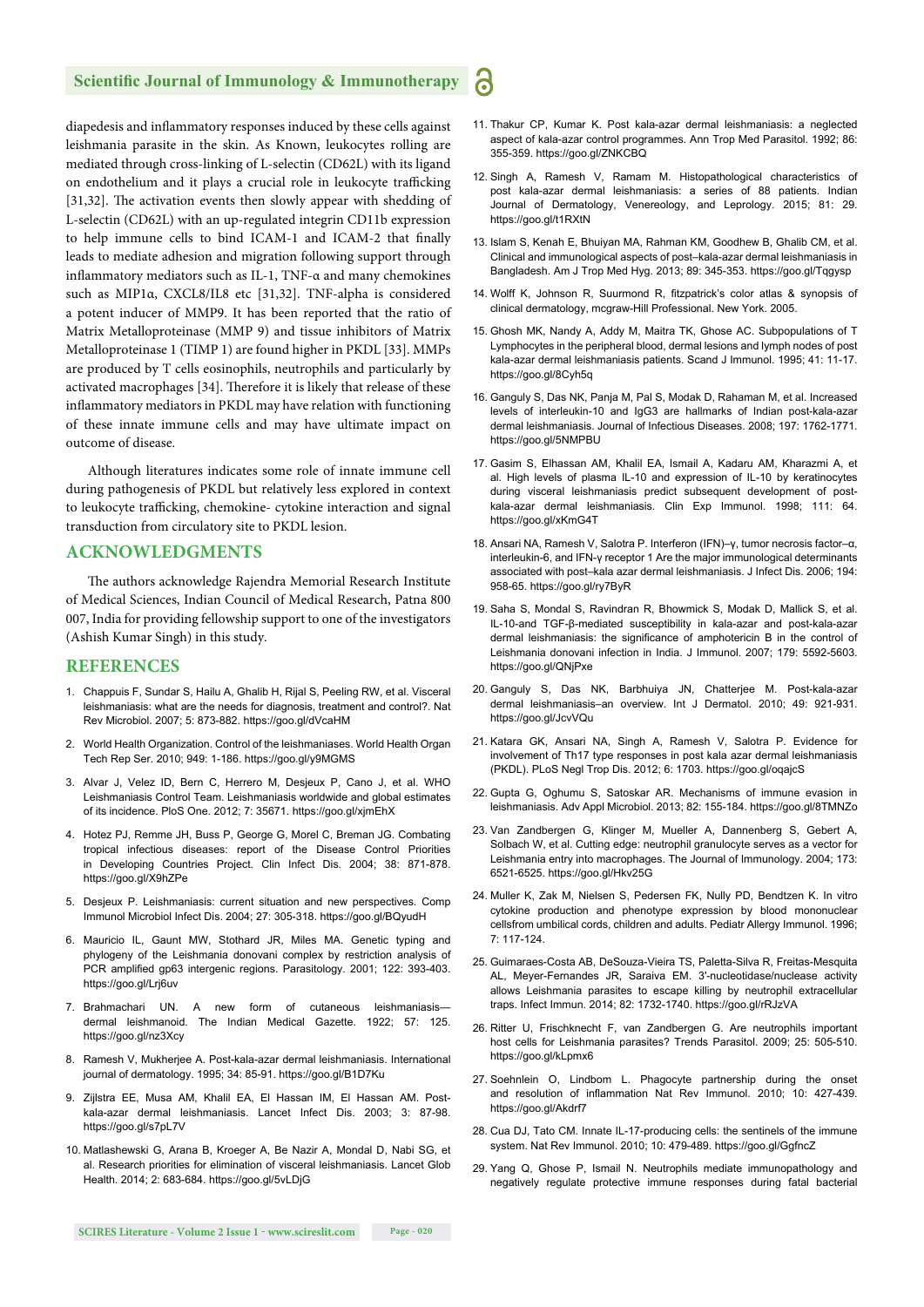#### **Scientific Journal of Immunology & Immunotherapy**

diapedesis and inflammatory responses induced by these cells against leishmania parasite in the skin. As Known, leukocytes rolling are mediated through cross-linking of L-selectin (CD62L) with its ligand on endothelium and it plays a crucial role in leukocyte trafficking [31,32]. The activation events then slowly appear with shedding of L-selectin (CD62L) with an up-regulated integrin CD11b expression to help immune cells to bind ICAM-1 and ICAM-2 that finally leads to mediate adhesion and migration following support through inflammatory mediators such as IL-1, TNF- $\alpha$  and many chemokines such as MIP1α, CXCL8/IL8 etc [31,32]. TNF-alpha is considered a potent inducer of MMP9. It has been reported that the ratio of Matrix Metalloproteinase (MMP 9) and tissue inhibitors of Matrix Metalloproteinase 1 (TIMP 1) are found higher in PKDL [33]. MMPs are produced by T cells eosinophils, neutrophils and particularly by activated macrophages [34]. Therefore it is likely that release of these inflammatory mediators in PKDL may have relation with functioning of these innate immune cells and may have ultimate impact on outcome of disease.

Although literatures indicates some role of innate immune cell during pathogenesis of PKDL but relatively less explored in context to leukocyte trafficking, chemokine- cytokine interaction and signal transduction from circulatory site to PKDL lesion.

#### **ACKNOWLEDGMENTS**

The authors acknowledge Rajendra Memorial Research Institute of Medical Sciences, Indian Council of Medical Research, Patna 800 007, India for providing fellowship support to one of the investigators (Ashish Kumar Singh) in this study.

#### **REFERENCES**

- 1. Chappuis F, Sundar S, Hailu A, Ghalib H, Rijal S, Peeling RW, et al. Visceral leishmaniasis: what are the needs for diagnosis, treatment and control?. Nat Rev Microbiol. 2007; 5: 873-882. https://goo.gl/dVcaHM
- 2. World Health Organization. Control of the leishmaniases. World Health Organ Tech Rep Ser. 2010; 949: 1-186. https://goo.gl/y9MGMS
- 3. Alvar J, Velez ID, Bern C, Herrero M, Desjeux P, Cano J, et al. WHO Leishmaniasis Control Team. Leishmaniasis worldwide and global estimates of its incidence. PloS One. 2012; 7: 35671. https://goo.gl/xjmEhX
- 4. Hotez PJ, Remme JH, Buss P, George G, Morel C, Breman JG. Combating tropical infectious diseases: report of the Disease Control Priorities in Developing Countries Project. Clin Infect Dis. 2004; 38: 871-878. https://goo.gl/X9hZPe
- 5. Desjeux P. Leishmaniasis: current situation and new perspectives. Comp Immunol Microbiol Infect Dis. 2004; 27: 305-318. https://goo.gl/BQyudH
- 6. Mauricio IL, Gaunt MW, Stothard JR, Miles MA. Genetic typing and phylogeny of the Leishmania donovani complex by restriction analysis of PCR amplified gp63 intergenic regions. Parasitology. 2001; 122: 393-403. https://goo.gl/Lrj6uv
- 7. Brahmachari UN. A new form of cutaneous leishmaniasis dermal leishmanoid. The Indian Medical Gazette. 1922; 57: 125. https://goo.gl/nz3Xcy
- 8. Ramesh V, Mukherjee A. Post-kala-azar dermal leishmaniasis. International journal of dermatology. 1995; 34: 85-91. https://goo.gl/B1D7Ku
- 9. Zijlstra EE, Musa AM, Khalil EA, El Hassan IM, El Hassan AM. Postkala-azar dermal leishmaniasis. Lancet Infect Dis. 2003; 3: 87-98. https://goo.gl/s7pL7V
- 10. Matlashewski G, Arana B, Kroeger A, Be Nazir A, Mondal D, Nabi SG, et al. Research priorities for elimination of visceral leishmaniasis. Lancet Glob Health. 2014; 2: 683-684. https://goo.gl/5vLDjG

11. Thakur CP, Kumar K. Post kala-azar dermal leishmaniasis: a neglected aspect of kala-azar control programmes. Ann Trop Med Parasitol. 1992; 86: 355-359. https://goo.gl/ZNKCBQ

6

- 12. Singh A, Ramesh V, Ramam M. Histopathological characteristics of post kala-azar dermal leishmaniasis: a series of 88 patients. Indian Journal of Dermatology, Venereology, and Leprology. 2015; 81: 29. https://goo.gl/t1RXtN
- 13. Islam S, Kenah E, Bhuiyan MA, Rahman KM, Goodhew B, Ghalib CM, et al. Clinical and immunological aspects of post–kala-azar dermal leishmaniasis in Bangladesh. Am J Trop Med Hyg. 2013; 89: 345-353. https://goo.gl/Tqgysp
- 14. Wolff K, Johnson R, Suurmond R, fitzpatrick's color atlas & synopsis of clinical dermatology, mcgraw-Hill Professional. New York. 2005.
- 15. Ghosh MK, Nandy A, Addy M, Maitra TK, Ghose AC. Subpopulations of T Lymphocytes in the peripheral blood, dermal lesions and lymph nodes of post kala-azar dermal leishmaniasis patients. Scand J Immunol. 1995; 41: 11-17. https://goo.gl/8Cyh5q
- 16. Ganguly S, Das NK, Panja M, Pal S, Modak D, Rahaman M, et al. Increased levels of interleukin-10 and IgG3 are hallmarks of Indian post-kala-azar dermal leishmaniasis. Journal of Infectious Diseases. 2008; 197: 1762-1771. https://goo.gl/5NMPBU
- 17. Gasim S, Elhassan AM, Khalil EA, Ismail A, Kadaru AM, Kharazmi A, et al. High levels of plasma IL-10 and expression of IL-10 by keratinocytes during visceral leishmaniasis predict subsequent development of postkala-azar dermal leishmaniasis. Clin Exp Immunol. 1998; 111: 64. https://goo.gl/xKmG4T
- 18. Ansari NA, Ramesh V, Salotra P. Interferon (IFN)–γ, tumor necrosis factor–α, interleukin-6, and IFN-γ receptor 1 Are the major immunological determinants associated with post–kala azar dermal leishmaniasis. J Infect Dis. 2006; 194: 958-65. https://goo.gl/ry7ByR
- 19. Saha S, Mondal S, Ravindran R, Bhowmick S, Modak D, Mallick S, et al. IL-10-and TGF-β-mediated susceptibility in kala-azar and post-kala-azar dermal leishmaniasis: the significance of amphotericin B in the control of Leishmania donovani infection in India. J Immunol. 2007; 179: 5592-5603. https://goo.gl/QNjPxe
- 20. Ganguly S, Das NK, Barbhuiya JN, Chatterjee M. Post-kala-azar dermal leishmaniasis–an overview. Int J Dermatol. 2010; 49: 921-931. https://goo.gl/JcvVQu
- 21. Katara GK, Ansari NA, Singh A, Ramesh V, Salotra P. Evidence for involvement of Th17 type responses in post kala azar dermal leishmaniasis (PKDL). PLoS Negl Trop Dis. 2012; 6: 1703. https://goo.gl/oqajcS
- 22. Gupta G, Oghumu S, Satoskar AR. Mechanisms of immune evasion in leishmaniasis. Adv Appl Microbiol. 2013; 82: 155-184. https://goo.gl/8TMNZo
- 23. Van Zandbergen G, Klinger M, Mueller A, Dannenberg S, Gebert A, Solbach W, et al. Cutting edge: neutrophil granulocyte serves as a vector for Leishmania entry into macrophages. The Journal of Immunology. 2004; 173: 6521-6525. https://goo.gl/Hkv25G
- 24. Muller K, Zak M, Nielsen S, Pedersen FK, Nully PD, Bendtzen K. In vitro cytokine production and phenotype expression by blood mononuclear cellsfrom umbilical cords, children and adults. Pediatr Allergy Immunol. 1996; 7: 117-124.
- 25. Guimaraes-Costa AB, DeSouza-Vieira TS, Paletta-Silva R, Freitas-Mesquita AL, Meyer-Fernandes JR, Saraiva EM. 3′-nucleotidase/nuclease activity allows Leishmania parasites to escape killing by neutrophil extracellular traps. Infect Immun. 2014; 82: 1732-1740. https://goo.gl/rRJzVA
- 26. Ritter U, Frischknecht F, van Zandbergen G. Are neutrophils important host cells for Leishmania parasites? Trends Parasitol. 2009; 25: 505-510. https://goo.gl/kLpmx6
- 27. Soehnlein O, Lindbom L. Phagocyte partnership during the onset and resolution of inflammation Nat Rev Immunol. 2010; 10: 427-439. https://goo.gl/Akdrf7
- 28. Cua DJ, Tato CM. Innate IL-17-producing cells: the sentinels of the immune system. Nat Rev Immunol. 2010; 10: 479-489. https://goo.gl/GgfncZ
- 29. Yang Q, Ghose P, Ismail N. Neutrophils mediate immunopathology and negatively regulate protective immune responses during fatal bacterial